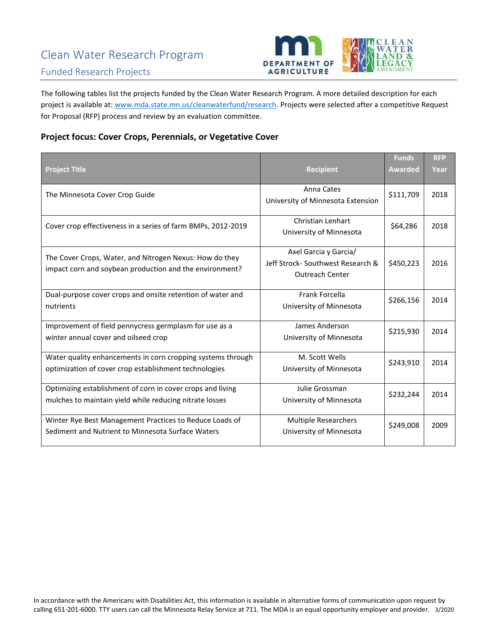

The following tables list the projects funded by the Clean Water Research Program. A more detailed description for each project is available at[: www.mda.state.mn.us/cleanwaterfund/research.](http://www.mda.state.mn.us/cleanwaterfund/research) Projects were selected after a competitive Request for Proposal (RFP) process and review by an evaluation committee.

#### **Project focus: Cover Crops, Perennials, or Vegetative Cover**

|                                                                                                                       |                                                                                     | <b>Funds</b>   | <b>RFP</b> |
|-----------------------------------------------------------------------------------------------------------------------|-------------------------------------------------------------------------------------|----------------|------------|
| <b>Project Title</b>                                                                                                  | <b>Recipient</b>                                                                    | <b>Awarded</b> | Year       |
| The Minnesota Cover Crop Guide                                                                                        | Anna Cates<br>University of Minnesota Extension                                     | \$111,709      | 2018       |
| Cover crop effectiveness in a series of farm BMPs, 2012-2019                                                          | Christian Lenhart<br>University of Minnesota                                        | \$64,286       | 2018       |
| The Cover Crops, Water, and Nitrogen Nexus: How do they<br>impact corn and soybean production and the environment?    | Axel Garcia y Garcia/<br>Jeff Strock-Southwest Research &<br><b>Outreach Center</b> | \$450,223      | 2016       |
| Dual-purpose cover crops and onsite retention of water and<br>nutrients                                               | Frank Forcella<br>University of Minnesota                                           | \$266,156      | 2014       |
| Improvement of field pennycress germplasm for use as a<br>winter annual cover and oilseed crop                        | James Anderson<br>University of Minnesota                                           | \$215,930      | 2014       |
| Water quality enhancements in corn cropping systems through<br>optimization of cover crop establishment technologies  | M. Scott Wells<br>University of Minnesota                                           | \$243,910      | 2014       |
| Optimizing establishment of corn in cover crops and living<br>mulches to maintain yield while reducing nitrate losses | Julie Grossman<br>University of Minnesota                                           | \$232,244      | 2014       |
| Winter Rye Best Management Practices to Reduce Loads of<br>Sediment and Nutrient to Minnesota Surface Waters          | <b>Multiple Researchers</b><br>University of Minnesota                              | \$249,008      | 2009       |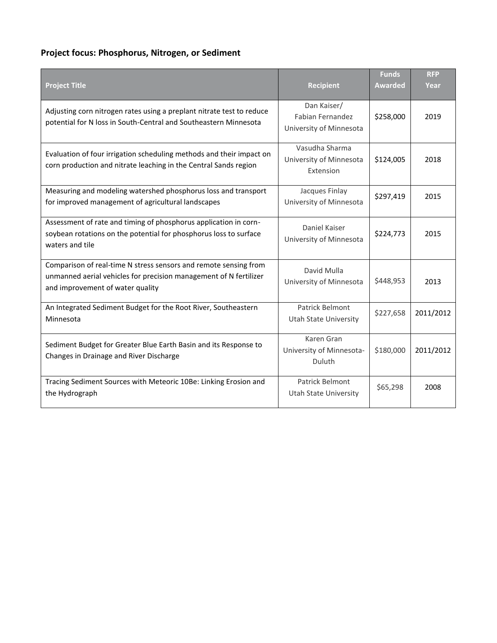# **Project focus: Phosphorus, Nitrogen, or Sediment**

|                                                                                                                                                                           |                                                                   | <b>Funds</b>   | <b>RFP</b> |
|---------------------------------------------------------------------------------------------------------------------------------------------------------------------------|-------------------------------------------------------------------|----------------|------------|
| <b>Project Title</b>                                                                                                                                                      | <b>Recipient</b>                                                  | <b>Awarded</b> | Year       |
| Adjusting corn nitrogen rates using a preplant nitrate test to reduce<br>potential for N loss in South-Central and Southeastern Minnesota                                 | Dan Kaiser/<br><b>Fabian Fernandez</b><br>University of Minnesota | \$258,000      | 2019       |
| Evaluation of four irrigation scheduling methods and their impact on<br>corn production and nitrate leaching in the Central Sands region                                  | Vasudha Sharma<br>University of Minnesota<br>Extension            | \$124,005      | 2018       |
| Measuring and modeling watershed phosphorus loss and transport<br>for improved management of agricultural landscapes                                                      | Jacques Finlay<br>University of Minnesota                         | \$297,419      | 2015       |
| Assessment of rate and timing of phosphorus application in corn-<br>soybean rotations on the potential for phosphorus loss to surface<br>waters and tile                  | Daniel Kaiser<br>University of Minnesota                          | \$224,773      | 2015       |
| Comparison of real-time N stress sensors and remote sensing from<br>unmanned aerial vehicles for precision management of N fertilizer<br>and improvement of water quality | David Mulla<br>University of Minnesota                            | \$448,953      | 2013       |
| An Integrated Sediment Budget for the Root River, Southeastern<br>Minnesota                                                                                               | Patrick Belmont<br><b>Utah State University</b>                   | \$227,658      | 2011/2012  |
| Sediment Budget for Greater Blue Earth Basin and its Response to<br>Changes in Drainage and River Discharge                                                               | Karen Gran<br>University of Minnesota-<br>Duluth                  | \$180,000      | 2011/2012  |
| Tracing Sediment Sources with Meteoric 10Be: Linking Erosion and<br>the Hydrograph                                                                                        | Patrick Belmont<br><b>Utah State University</b>                   | \$65,298       | 2008       |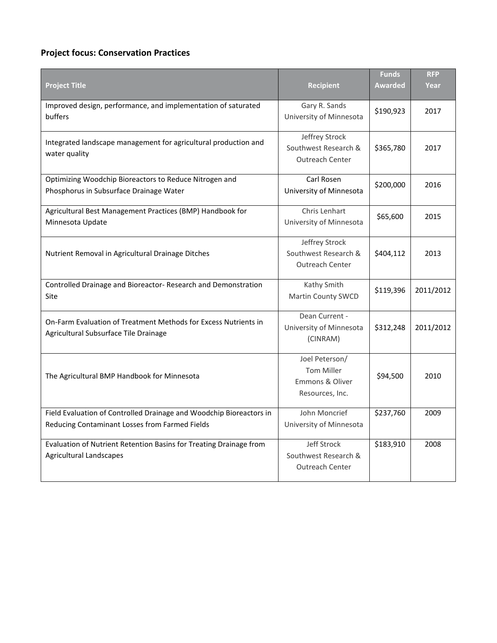#### **Project focus: Conservation Practices**

| <b>Project Title</b>                                                                                     | <b>Recipient</b>                                                                     | <b>Funds</b><br><b>Awarded</b> | <b>RFP</b><br>Year |
|----------------------------------------------------------------------------------------------------------|--------------------------------------------------------------------------------------|--------------------------------|--------------------|
| Improved design, performance, and implementation of saturated<br>buffers                                 | Gary R. Sands<br>University of Minnesota                                             | \$190,923                      | 2017               |
| Integrated landscape management for agricultural production and<br>water quality                         | Jeffrey Strock<br>Southwest Research &<br>Outreach Center                            | \$365,780                      | 2017               |
| Optimizing Woodchip Bioreactors to Reduce Nitrogen and<br>Phosphorus in Subsurface Drainage Water        | Carl Rosen<br>University of Minnesota                                                | \$200,000                      | 2016               |
| Agricultural Best Management Practices (BMP) Handbook for<br>Minnesota Update                            | Chris Lenhart<br>University of Minnesota                                             | \$65,600                       | 2015               |
| Nutrient Removal in Agricultural Drainage Ditches                                                        | Jeffrey Strock<br>Southwest Research &<br><b>Outreach Center</b>                     | \$404,112                      | 2013               |
| Controlled Drainage and Bioreactor-Research and Demonstration<br>Site                                    | Kathy Smith<br>Martin County SWCD                                                    | \$119,396                      | 2011/2012          |
| On-Farm Evaluation of Treatment Methods for Excess Nutrients in<br>Agricultural Subsurface Tile Drainage | Dean Current -<br>University of Minnesota<br>(CINRAM)                                | \$312,248                      | 2011/2012          |
| The Agricultural BMP Handbook for Minnesota                                                              | Joel Peterson/<br><b>Tom Miller</b><br><b>Emmons &amp; Oliver</b><br>Resources, Inc. | \$94,500                       | 2010               |
| Field Evaluation of Controlled Drainage and Woodchip Bioreactors in                                      | John Moncrief                                                                        | \$237,760                      | 2009               |
| Reducing Contaminant Losses from Farmed Fields                                                           | University of Minnesota                                                              |                                |                    |
| Evaluation of Nutrient Retention Basins for Treating Drainage from<br><b>Agricultural Landscapes</b>     | Jeff Strock<br>Southwest Research &<br><b>Outreach Center</b>                        | \$183,910                      | 2008               |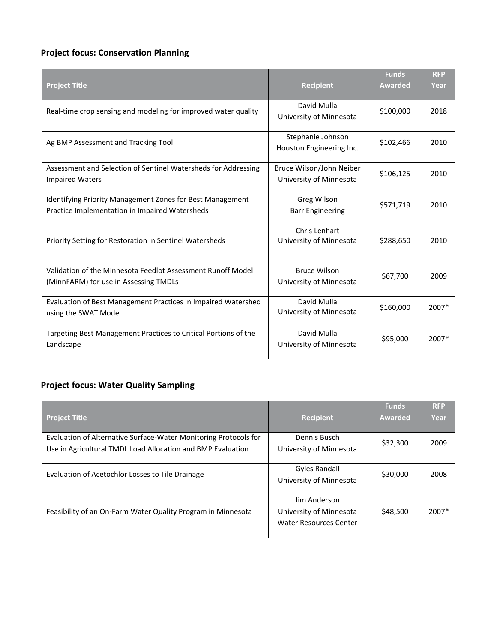### **Project focus: Conservation Planning**

|                                                                                                             |                                                     | <b>Funds</b>   | <b>RFP</b> |
|-------------------------------------------------------------------------------------------------------------|-----------------------------------------------------|----------------|------------|
| <b>Project Title</b>                                                                                        | <b>Recipient</b>                                    | <b>Awarded</b> | Year       |
| Real-time crop sensing and modeling for improved water quality                                              | David Mulla<br>University of Minnesota              | \$100,000      | 2018       |
| Ag BMP Assessment and Tracking Tool                                                                         | Stephanie Johnson<br>Houston Engineering Inc.       | \$102,466      | 2010       |
| Assessment and Selection of Sentinel Watersheds for Addressing<br><b>Impaired Waters</b>                    | Bruce Wilson/John Neiber<br>University of Minnesota | \$106,125      | 2010       |
| Identifying Priority Management Zones for Best Management<br>Practice Implementation in Impaired Watersheds | Greg Wilson<br><b>Barr Engineering</b>              | \$571,719      | 2010       |
| Priority Setting for Restoration in Sentinel Watersheds                                                     | Chris Lenhart<br>University of Minnesota            | \$288,650      | 2010       |
| Validation of the Minnesota Feedlot Assessment Runoff Model<br>(MinnFARM) for use in Assessing TMDLs        | <b>Bruce Wilson</b><br>University of Minnesota      | \$67,700       | 2009       |
| Evaluation of Best Management Practices in Impaired Watershed<br>using the SWAT Model                       | David Mulla<br>University of Minnesota              | \$160,000      | 2007*      |
| Targeting Best Management Practices to Critical Portions of the<br>Landscape                                | David Mulla<br>University of Minnesota              | \$95,000       | 2007*      |

## **Project focus: Water Quality Sampling**

|                                                                  |                               | <b>Funds</b>   | <b>RFP</b> |
|------------------------------------------------------------------|-------------------------------|----------------|------------|
| <b>Project Title</b>                                             | <b>Recipient</b>              | <b>Awarded</b> | Year       |
|                                                                  |                               |                |            |
| Evaluation of Alternative Surface-Water Monitoring Protocols for | Dennis Busch                  | \$32,300       | 2009       |
| Use in Agricultural TMDL Load Allocation and BMP Evaluation      | University of Minnesota       |                |            |
|                                                                  |                               |                |            |
|                                                                  | <b>Gyles Randall</b>          |                |            |
| Evaluation of Acetochlor Losses to Tile Drainage                 | University of Minnesota       | \$30,000       | 2008       |
|                                                                  |                               |                |            |
|                                                                  | Jim Anderson                  |                |            |
| Feasibility of an On-Farm Water Quality Program in Minnesota     | University of Minnesota       | \$48,500       | 2007*      |
|                                                                  | <b>Water Resources Center</b> |                |            |
|                                                                  |                               |                |            |